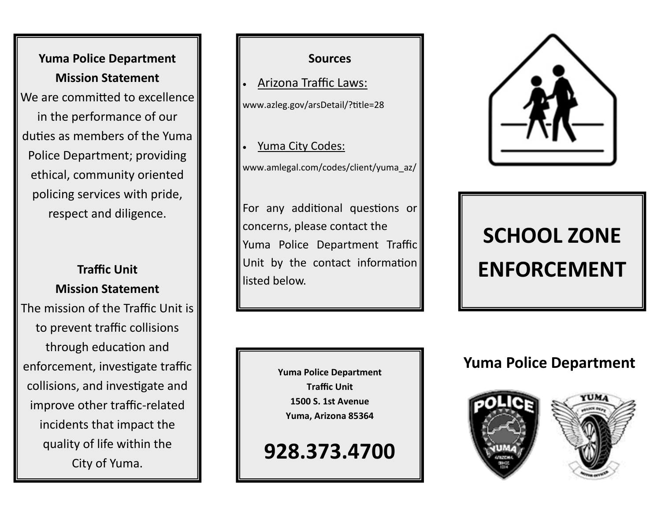**Yuma Police Department Mission Statement** We are committed to excellence in the performance of our duties as members of the Yuma Police Department; providing ethical, community oriented policing services with pride, respect and diligence.

#### **Traffic Unit Mission Statement**

The mission of the Traffic Unit is to prevent traffic collisions through education and enforcement, investigate traffic collisions, and investigate and improve other traffic-related incidents that impact the quality of life within the City of Yuma.



**Yuma Police Department Traffic Unit 1500 S. 1st Avenue Yuma, Arizona 85364**

**928.373.4700**



## **SCHOOL ZONE ENFORCEMENT**

### **Yuma Police Department**